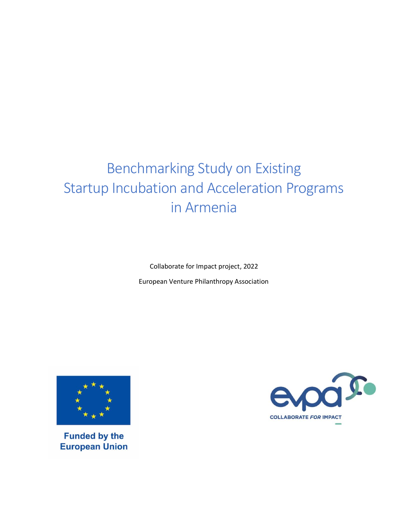# Benchmarking Study on Existing Startup Incubation and Acceleration Programs in Armenia

Collaborate for Impact project, 2022 European Venture Philanthropy Association



**Funded by the European Union** 

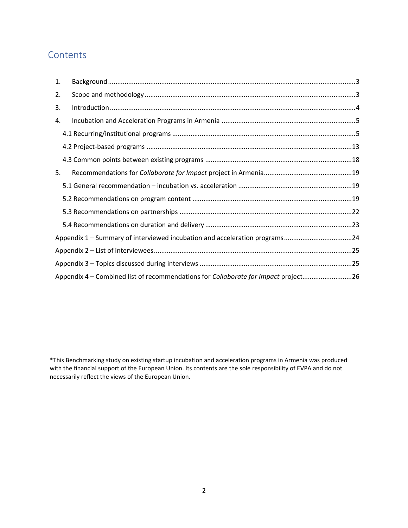# **Contents**

| 1.                                                                         |                                                                                    |  |  |  |  |  |
|----------------------------------------------------------------------------|------------------------------------------------------------------------------------|--|--|--|--|--|
| 2.                                                                         |                                                                                    |  |  |  |  |  |
| 3.                                                                         |                                                                                    |  |  |  |  |  |
| 4.                                                                         |                                                                                    |  |  |  |  |  |
|                                                                            |                                                                                    |  |  |  |  |  |
|                                                                            |                                                                                    |  |  |  |  |  |
|                                                                            |                                                                                    |  |  |  |  |  |
| 5.                                                                         |                                                                                    |  |  |  |  |  |
|                                                                            |                                                                                    |  |  |  |  |  |
|                                                                            |                                                                                    |  |  |  |  |  |
|                                                                            |                                                                                    |  |  |  |  |  |
|                                                                            |                                                                                    |  |  |  |  |  |
| Appendix 1 - Summary of interviewed incubation and acceleration programs24 |                                                                                    |  |  |  |  |  |
|                                                                            |                                                                                    |  |  |  |  |  |
|                                                                            |                                                                                    |  |  |  |  |  |
|                                                                            | Appendix 4 - Combined list of recommendations for Collaborate for Impact project26 |  |  |  |  |  |

\*This Benchmarking study on existing startup incubation and acceleration programs in Armenia was produced with the financial support of the European Union. Its contents are the sole responsibility of EVPA and do not necessarily reflect the views of the European Union.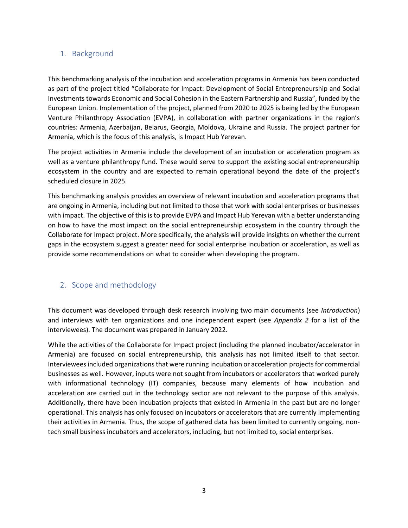# <span id="page-2-0"></span>1. Background

This benchmarking analysis of the incubation and acceleration programs in Armenia has been conducted as part of the project titled "Collaborate for Impact: Development of Social Entrepreneurship and Social Investments towards Economic and Social Cohesion in the Eastern Partnership and Russia", funded by the European Union. Implementation of the project, planned from 2020 to 2025 is being led by the European Venture Philanthropy Association (EVPA), in collaboration with partner organizations in the region's countries: Armenia, Azerbaijan, Belarus, Georgia, Moldova, Ukraine and Russia. The project partner for Armenia, which is the focus of this analysis, is Impact Hub Yerevan.

The project activities in Armenia include the development of an incubation or acceleration program as well as a venture philanthropy fund. These would serve to support the existing social entrepreneurship ecosystem in the country and are expected to remain operational beyond the date of the project's scheduled closure in 2025.

This benchmarking analysis provides an overview of relevant incubation and acceleration programs that are ongoing in Armenia, including but not limited to those that work with social enterprises or businesses with impact. The objective of this is to provide EVPA and Impact Hub Yerevan with a better understanding on how to have the most impact on the social entrepreneurship ecosystem in the country through the Collaborate for Impact project. More specifically, the analysis will provide insights on whether the current gaps in the ecosystem suggest a greater need for social enterprise incubation or acceleration, as well as provide some recommendations on what to consider when developing the program.

# <span id="page-2-1"></span>2. Scope and methodology

This document was developed through desk research involving two main documents (see *Introduction*) and interviews with ten organizations and one independent expert (see *Appendix 2* for a list of the interviewees). The document was prepared in January 2022.

While the activities of the Collaborate for Impact project (including the planned incubator/accelerator in Armenia) are focused on social entrepreneurship, this analysis has not limited itself to that sector. Interviewees included organizations that were running incubation or acceleration projects for commercial businesses as well. However, inputs were not sought from incubators or accelerators that worked purely with informational technology (IT) companies, because many elements of how incubation and acceleration are carried out in the technology sector are not relevant to the purpose of this analysis. Additionally, there have been incubation projects that existed in Armenia in the past but are no longer operational. This analysis has only focused on incubators or accelerators that are currently implementing their activities in Armenia. Thus, the scope of gathered data has been limited to currently ongoing, nontech small business incubators and accelerators, including, but not limited to, social enterprises.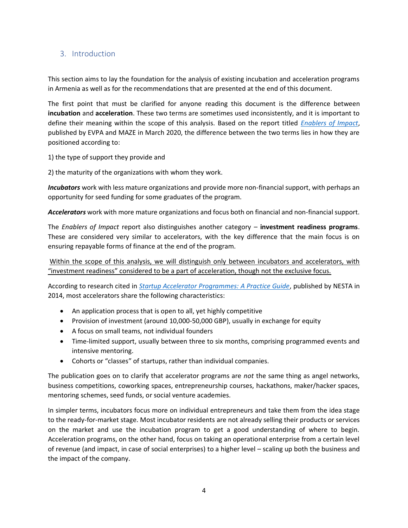# <span id="page-3-0"></span>3. Introduction

This section aims to lay the foundation for the analysis of existing incubation and acceleration programs in Armenia as well as for the recommendations that are presented at the end of this document.

The first point that must be clarified for anyone reading this document is the difference between **incubation** and **acceleration**. These two terms are sometimes used inconsistently, and it is important to define their meaning within the scope of this analysis. Based on the report titled *[Enablers of Impact](https://evpa.eu.com/knowledge-centre/publications/enablers-of-impact)*, published by EVPA and MAZE in March 2020, the difference between the two terms lies in how they are positioned according to:

1) the type of support they provide and

2) the maturity of the organizations with whom they work.

*Incubators* work with less mature organizations and provide more non-financial support, with perhaps an opportunity for seed funding for some graduates of the program.

*Accelerators* work with more mature organizations and focus both on financial and non-financial support.

The *Enablers of Impact* report also distinguishes another category – **investment readiness programs**. These are considered very similar to accelerators, with the key difference that the main focus is on ensuring repayable forms of finance at the end of the program.

Within the scope of this analysis, we will distinguish only between incubators and accelerators, with "investment readiness" considered to be a part of acceleration, though not the exclusive focus.

According to research cited in *[Startup Accelerator Programmes: A Practice Guide](https://www.nesta.org.uk/toolkit/startup-accelerator-programmes-a-practice-guide/)*, published by NESTA in 2014, most accelerators share the following characteristics:

- An application process that is open to all, yet highly competitive
- Provision of investment (around 10,000-50,000 GBP), usually in exchange for equity
- A focus on small teams, not individual founders
- Time-limited support, usually between three to six months, comprising programmed events and intensive mentoring.
- Cohorts or "classes" of startups, rather than individual companies.

The publication goes on to clarify that accelerator programs are *not* the same thing as angel networks, business competitions, coworking spaces, entrepreneurship courses, hackathons, maker/hacker spaces, mentoring schemes, seed funds, or social venture academies.

In simpler terms, incubators focus more on individual entrepreneurs and take them from the idea stage to the ready-for-market stage. Most incubator residents are not already selling their products or services on the market and use the incubation program to get a good understanding of where to begin. Acceleration programs, on the other hand, focus on taking an operational enterprise from a certain level of revenue (and impact, in case of social enterprises) to a higher level – scaling up both the business and the impact of the company.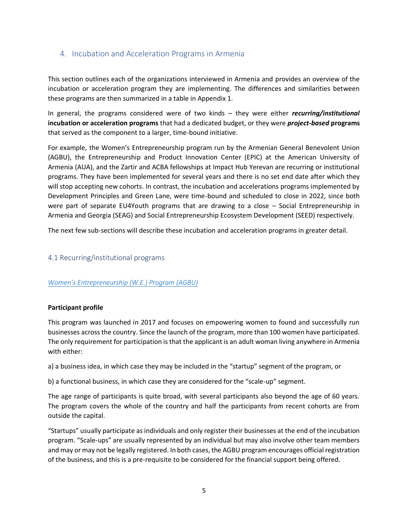# <span id="page-4-0"></span>4. Incubation and Acceleration Programs in Armenia

This section outlines each of the organizations interviewed in Armenia and provides an overview of the incubation or acceleration program they are implementing. The differences and similarities between these programs are then summarized in a table in Appendix 1.

In general, the programs considered were of two kinds – they were either *recurring/institutional*  **incubation or acceleration programs** that had a dedicated budget, or they were *project-based* **programs** that served as the component to a larger, time-bound initiative.

For example, the Women's Entrepreneurship program run by the Armenian General Benevolent Union (AGBU), the Entrepreneurship and Product Innovation Center (EPIC) at the American University of Armenia (AUA), and the Zartir and ACBA fellowships at Impact Hub Yerevan are recurring or institutional programs. They have been implemented for several years and there is no set end date after which they will stop accepting new cohorts. In contrast, the incubation and accelerations programs implemented by Development Principles and Green Lane, were time-bound and scheduled to close in 2022, since both were part of separate EU4Youth programs that are drawing to a close – Social Entrepreneurship in Armenia and Georgia (SEAG) and Social Entrepreneurship Ecosystem Development (SEED) respectively.

The next few sub-sections will describe these incubation and acceleration programs in greater detail.

# <span id="page-4-1"></span>4.1 Recurring/institutional programs

# *[Women's Entrepreneurship \(W.E.\) Program \(AGBU\)](https://www.agbugiving.org/we/)*

#### **Participant profile**

This program was launched in 2017 and focuses on empowering women to found and successfully run businesses across the country. Since the launch of the program, more than 100 women have participated. The only requirement for participation is that the applicant is an adult woman living anywhere in Armenia with either:

a) a business idea, in which case they may be included in the "startup" segment of the program, or

b) a functional business, in which case they are considered for the "scale-up" segment.

The age range of participants is quite broad, with several participants also beyond the age of 60 years. The program covers the whole of the country and half the participants from recent cohorts are from outside the capital.

"Startups" usually participate as individuals and only register their businesses at the end of the incubation program. "Scale-ups" are usually represented by an individual but may also involve other team members and may or may not be legally registered. In both cases, the AGBU program encourages official registration of the business, and this is a pre-requisite to be considered for the financial support being offered.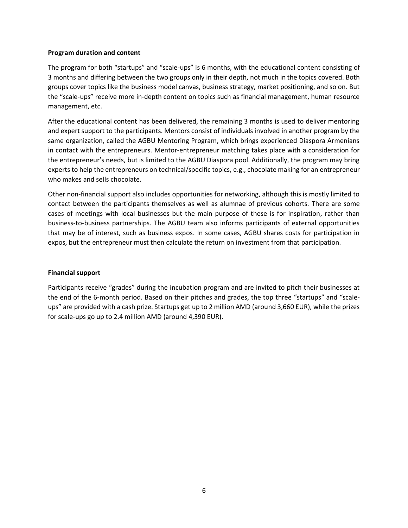#### **Program duration and content**

The program for both "startups" and "scale-ups" is 6 months, with the educational content consisting of 3 months and differing between the two groups only in their depth, not much in the topics covered. Both groups cover topics like the business model canvas, business strategy, market positioning, and so on. But the "scale-ups" receive more in-depth content on topics such as financial management, human resource management, etc.

After the educational content has been delivered, the remaining 3 months is used to deliver mentoring and expert support to the participants. Mentors consist of individuals involved in another program by the same organization, called the AGBU Mentoring Program, which brings experienced Diaspora Armenians in contact with the entrepreneurs. Mentor-entrepreneur matching takes place with a consideration for the entrepreneur's needs, but is limited to the AGBU Diaspora pool. Additionally, the program may bring experts to help the entrepreneurs on technical/specific topics, e.g., chocolate making for an entrepreneur who makes and sells chocolate.

Other non-financial support also includes opportunities for networking, although this is mostly limited to contact between the participants themselves as well as alumnae of previous cohorts. There are some cases of meetings with local businesses but the main purpose of these is for inspiration, rather than business-to-business partnerships. The AGBU team also informs participants of external opportunities that may be of interest, such as business expos. In some cases, AGBU shares costs for participation in expos, but the entrepreneur must then calculate the return on investment from that participation.

#### **Financial support**

Participants receive "grades" during the incubation program and are invited to pitch their businesses at the end of the 6-month period. Based on their pitches and grades, the top three "startups" and "scaleups" are provided with a cash prize. Startups get up to 2 million AMD (around 3,660 EUR), while the prizes for scale-ups go up to 2.4 million AMD (around 4,390 EUR).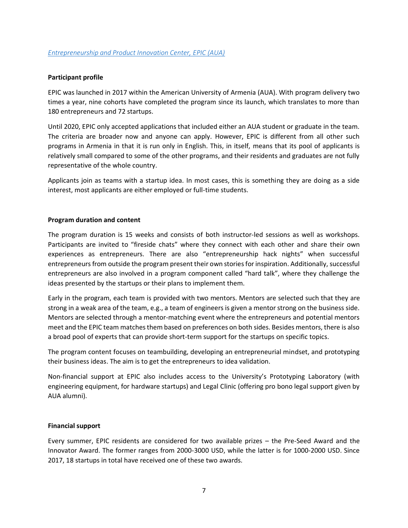EPIC was launched in 2017 within the American University of Armenia (AUA). With program delivery two times a year, nine cohorts have completed the program since its launch, which translates to more than 180 entrepreneurs and 72 startups.

Until 2020, EPIC only accepted applications that included either an AUA student or graduate in the team. The criteria are broader now and anyone can apply. However, EPIC is different from all other such programs in Armenia in that it is run only in English. This, in itself, means that its pool of applicants is relatively small compared to some of the other programs, and their residents and graduates are not fully representative of the whole country.

Applicants join as teams with a startup idea. In most cases, this is something they are doing as a side interest, most applicants are either employed or full-time students.

#### **Program duration and content**

The program duration is 15 weeks and consists of both instructor-led sessions as well as workshops. Participants are invited to "fireside chats" where they connect with each other and share their own experiences as entrepreneurs. There are also "entrepreneurship hack nights" when successful entrepreneurs from outside the program present their own stories for inspiration. Additionally, successful entrepreneurs are also involved in a program component called "hard talk", where they challenge the ideas presented by the startups or their plans to implement them.

Early in the program, each team is provided with two mentors. Mentors are selected such that they are strong in a weak area of the team, e.g., a team of engineers is given a mentor strong on the business side. Mentors are selected through a mentor-matching event where the entrepreneurs and potential mentors meet and the EPIC team matches them based on preferences on both sides. Besides mentors, there is also a broad pool of experts that can provide short-term support for the startups on specific topics.

The program content focuses on teambuilding, developing an entrepreneurial mindset, and prototyping their business ideas. The aim is to get the entrepreneurs to idea validation.

Non-financial support at EPIC also includes access to the University's Prototyping Laboratory (with engineering equipment, for hardware startups) and Legal Clinic (offering pro bono legal support given by AUA alumni).

#### **Financial support**

Every summer, EPIC residents are considered for two available prizes – the Pre-Seed Award and the Innovator Award. The former ranges from 2000-3000 USD, while the latter is for 1000-2000 USD. Since 2017, 18 startups in total have received one of these two awards.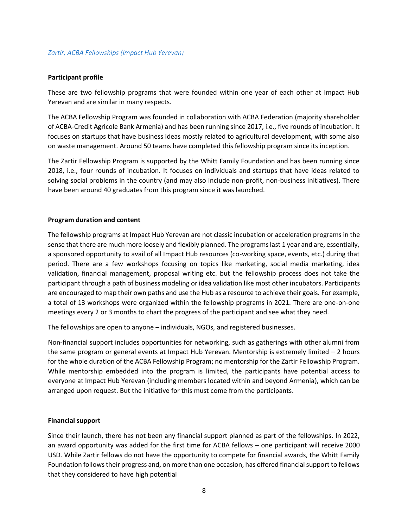These are two fellowship programs that were founded within one year of each other at Impact Hub Yerevan and are similar in many respects.

The ACBA Fellowship Program was founded in collaboration with ACBA Federation (majority shareholder of ACBA-Credit Agricole Bank Armenia) and has been running since 2017, i.e., five rounds of incubation. It focuses on startups that have business ideas mostly related to agricultural development, with some also on waste management. Around 50 teams have completed this fellowship program since its inception.

The Zartir Fellowship Program is supported by the Whitt Family Foundation and has been running since 2018, i.e., four rounds of incubation. It focuses on individuals and startups that have ideas related to solving social problems in the country (and may also include non-profit, non-business initiatives). There have been around 40 graduates from this program since it was launched.

#### **Program duration and content**

The fellowship programs at Impact Hub Yerevan are not classic incubation or acceleration programs in the sense that there are much more loosely and flexibly planned. The programs last 1 year and are, essentially, a sponsored opportunity to avail of all Impact Hub resources (co-working space, events, etc.) during that period. There are a few workshops focusing on topics like marketing, social media marketing, idea validation, financial management, proposal writing etc. but the fellowship process does not take the participant through a path of business modeling or idea validation like most other incubators. Participants are encouraged to map their own paths and use the Hub as a resource to achieve their goals. For example, a total of 13 workshops were organized within the fellowship programs in 2021. There are one-on-one meetings every 2 or 3 months to chart the progress of the participant and see what they need.

The fellowships are open to anyone – individuals, NGOs, and registered businesses.

Non-financial support includes opportunities for networking, such as gatherings with other alumni from the same program or general events at Impact Hub Yerevan. Mentorship is extremely limited – 2 hours for the whole duration of the ACBA Fellowship Program; no mentorship for the Zartir Fellowship Program. While mentorship embedded into the program is limited, the participants have potential access to everyone at Impact Hub Yerevan (including members located within and beyond Armenia), which can be arranged upon request. But the initiative for this must come from the participants.

#### **Financial support**

Since their launch, there has not been any financial support planned as part of the fellowships. In 2022, an award opportunity was added for the first time for ACBA fellows – one participant will receive 2000 USD. While Zartir fellows do not have the opportunity to compete for financial awards, the Whitt Family Foundation follows their progress and, on more than one occasion, has offered financial support to fellows that they considered to have high potential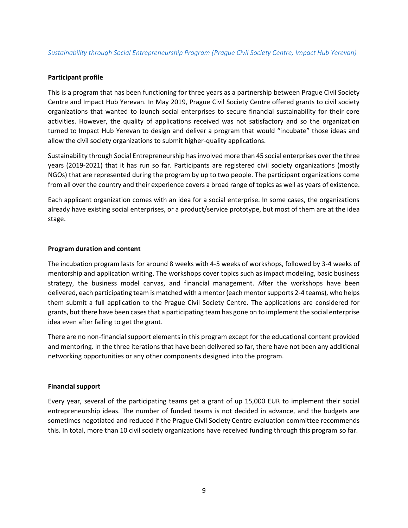This is a program that has been functioning for three years as a partnership between Prague Civil Society Centre and Impact Hub Yerevan. In May 2019, Prague Civil Society Centre offered grants to civil society organizations that wanted to launch social enterprises to secure financial sustainability for their core activities. However, the quality of applications received was not satisfactory and so the organization turned to Impact Hub Yerevan to design and deliver a program that would "incubate" those ideas and allow the civil society organizations to submit higher-quality applications.

Sustainability through Social Entrepreneurship has involved more than 45 social enterprises over the three years (2019-2021) that it has run so far. Participants are registered civil society organizations (mostly NGOs) that are represented during the program by up to two people. The participant organizations come from all over the country and their experience covers a broad range of topics as well as years of existence.

Each applicant organization comes with an idea for a social enterprise. In some cases, the organizations already have existing social enterprises, or a product/service prototype, but most of them are at the idea stage.

#### **Program duration and content**

The incubation program lasts for around 8 weeks with 4-5 weeks of workshops, followed by 3-4 weeks of mentorship and application writing. The workshops cover topics such as impact modeling, basic business strategy, the business model canvas, and financial management. After the workshops have been delivered, each participating team is matched with a mentor (each mentor supports 2-4 teams), who helps them submit a full application to the Prague Civil Society Centre. The applications are considered for grants, but there have been cases that a participating team has gone on to implement the social enterprise idea even after failing to get the grant.

There are no non-financial support elements in this program except for the educational content provided and mentoring. In the three iterations that have been delivered so far, there have not been any additional networking opportunities or any other components designed into the program.

#### **Financial support**

Every year, several of the participating teams get a grant of up 15,000 EUR to implement their social entrepreneurship ideas. The number of funded teams is not decided in advance, and the budgets are sometimes negotiated and reduced if the Prague Civil Society Centre evaluation committee recommends this. In total, more than 10 civil society organizations have received funding through this program so far.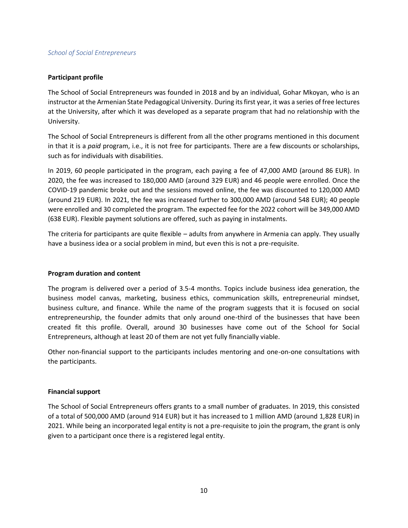#### *School of Social Entrepreneurs*

#### **Participant profile**

The School of Social Entrepreneurs was founded in 2018 and by an individual, Gohar Mkoyan, who is an instructor at the Armenian State Pedagogical University. During its first year, it was a series of free lectures at the University, after which it was developed as a separate program that had no relationship with the University.

The School of Social Entrepreneurs is different from all the other programs mentioned in this document in that it is a *paid* program, i.e., it is not free for participants. There are a few discounts or scholarships, such as for individuals with disabilities.

In 2019, 60 people participated in the program, each paying a fee of 47,000 AMD (around 86 EUR). In 2020, the fee was increased to 180,000 AMD (around 329 EUR) and 46 people were enrolled. Once the COVID-19 pandemic broke out and the sessions moved online, the fee was discounted to 120,000 AMD (around 219 EUR). In 2021, the fee was increased further to 300,000 AMD (around 548 EUR); 40 people were enrolled and 30 completed the program. The expected fee for the 2022 cohort will be 349,000 AMD (638 EUR). Flexible payment solutions are offered, such as paying in instalments.

The criteria for participants are quite flexible – adults from anywhere in Armenia can apply. They usually have a business idea or a social problem in mind, but even this is not a pre-requisite.

#### **Program duration and content**

The program is delivered over a period of 3.5-4 months. Topics include business idea generation, the business model canvas, marketing, business ethics, communication skills, entrepreneurial mindset, business culture, and finance. While the name of the program suggests that it is focused on social entrepreneurship, the founder admits that only around one-third of the businesses that have been created fit this profile. Overall, around 30 businesses have come out of the School for Social Entrepreneurs, although at least 20 of them are not yet fully financially viable.

Other non-financial support to the participants includes mentoring and one-on-one consultations with the participants.

#### **Financial support**

The School of Social Entrepreneurs offers grants to a small number of graduates. In 2019, this consisted of a total of 500,000 AMD (around 914 EUR) but it has increased to 1 million AMD (around 1,828 EUR) in 2021. While being an incorporated legal entity is not a pre-requisite to join the program, the grant is only given to a participant once there is a registered legal entity.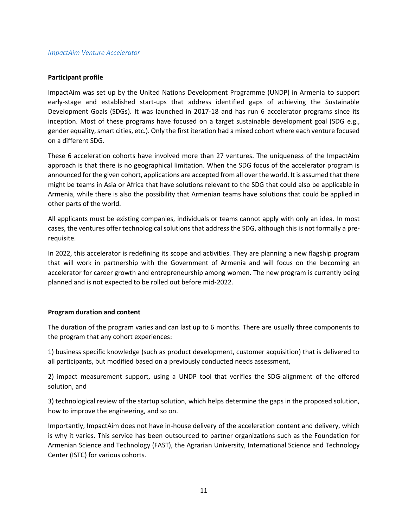ImpactAim was set up by the United Nations Development Programme (UNDP) in Armenia to support early-stage and established start-ups that address identified gaps of achieving the Sustainable Development Goals (SDGs). It was launched in 2017-18 and has run 6 accelerator programs since its inception. Most of these programs have focused on a target sustainable development goal (SDG e.g., gender equality, smart cities, etc.). Only the first iteration had a mixed cohort where each venture focused on a different SDG.

These 6 acceleration cohorts have involved more than 27 ventures. The uniqueness of the ImpactAim approach is that there is no geographical limitation. When the SDG focus of the accelerator program is announced for the given cohort, applications are accepted from all over the world. It is assumed that there might be teams in Asia or Africa that have solutions relevant to the SDG that could also be applicable in Armenia, while there is also the possibility that Armenian teams have solutions that could be applied in other parts of the world.

All applicants must be existing companies, individuals or teams cannot apply with only an idea. In most cases, the ventures offer technological solutions that address the SDG, although this is not formally a prerequisite.

In 2022, this accelerator is redefining its scope and activities. They are planning a new flagship program that will work in partnership with the Government of Armenia and will focus on the becoming an accelerator for career growth and entrepreneurship among women. The new program is currently being planned and is not expected to be rolled out before mid-2022.

#### **Program duration and content**

The duration of the program varies and can last up to 6 months. There are usually three components to the program that any cohort experiences:

1) business specific knowledge (such as product development, customer acquisition) that is delivered to all participants, but modified based on a previously conducted needs assessment,

2) impact measurement support, using a UNDP tool that verifies the SDG-alignment of the offered solution, and

3) technological review of the startup solution, which helps determine the gaps in the proposed solution, how to improve the engineering, and so on.

Importantly, ImpactAim does not have in-house delivery of the acceleration content and delivery, which is why it varies. This service has been outsourced to partner organizations such as the Foundation for Armenian Science and Technology (FAST), the Agrarian University, International Science and Technology Center (ISTC) for various cohorts.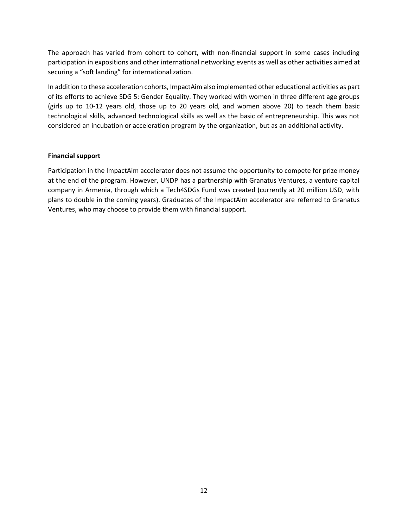The approach has varied from cohort to cohort, with non-financial support in some cases including participation in expositions and other international networking events as well as other activities aimed at securing a "soft landing" for internationalization.

In addition to these acceleration cohorts, ImpactAim also implemented other educational activities as part of its efforts to achieve SDG 5: Gender Equality. They worked with women in three different age groups (girls up to 10-12 years old, those up to 20 years old, and women above 20) to teach them basic technological skills, advanced technological skills as well as the basic of entrepreneurship. This was not considered an incubation or acceleration program by the organization, but as an additional activity.

#### **Financial support**

Participation in the ImpactAim accelerator does not assume the opportunity to compete for prize money at the end of the program. However, UNDP has a partnership with Granatus Ventures, a venture capital company in Armenia, through which a Tech4SDGs Fund was created (currently at 20 million USD, with plans to double in the coming years). Graduates of the ImpactAim accelerator are referred to Granatus Ventures, who may choose to provide them with financial support.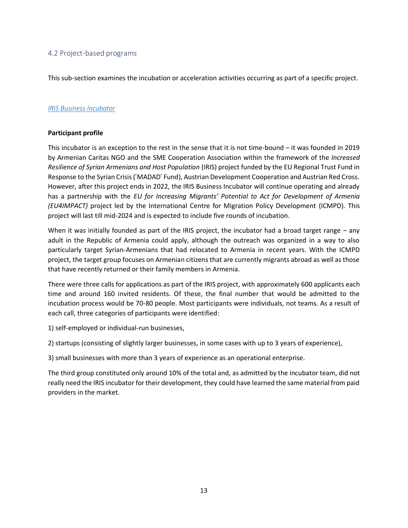# <span id="page-12-0"></span>4.2 Project-based programs

This sub-section examines the incubation or acceleration activities occurring as part of a specific project.

## *[IRIS Business Incubator](https://irisbi.am/en/)*

#### **Participant profile**

This incubator is an exception to the rest in the sense that it is not time-bound – it was founded in 2019 by Armenian Caritas NGO and the SME Cooperation Association within the framework of the *Increased Resilience of Syrian Armenians and Host Population* (IRIS) project funded by the EU Regional Trust Fund in Response to the Syrian Crisis (՛MADAD՛ Fund), Austrian Development Cooperation and Austrian Red Cross. However, after this project ends in 2022, the IRIS Business Incubator will continue operating and already has a partnership with the *EU for Increasing Migrants' Potential to Act for Development of Armenia (EU4IMPACT)* project led by the International Centre for Migration Policy Development (ICMPD). This project will last till mid-2024 and is expected to include five rounds of incubation.

When it was initially founded as part of the IRIS project, the incubator had a broad target range – any adult in the Republic of Armenia could apply, although the outreach was organized in a way to also particularly target Syrian-Armenians that had relocated to Armenia in recent years. With the ICMPD project, the target group focuses on Armenian citizens that are currently migrants abroad as well as those that have recently returned or their family members in Armenia.

There were three calls for applications as part of the IRIS project, with approximately 600 applicants each time and around 160 invited residents. Of these, the final number that would be admitted to the incubation process would be 70-80 people. Most participants were individuals, not teams. As a result of each call, three categories of participants were identified:

1) self-employed or individual-run businesses,

2) startups (consisting of slightly larger businesses, in some cases with up to 3 years of experience),

3) small businesses with more than 3 years of experience as an operational enterprise.

The third group constituted only around 10% of the total and, as admitted by the incubator team, did not really need the IRIS incubator for their development, they could have learned the same material from paid providers in the market.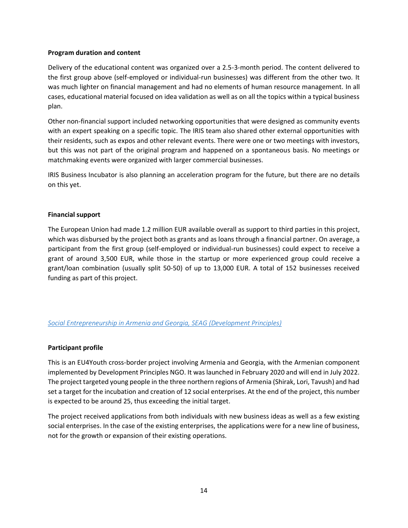#### **Program duration and content**

Delivery of the educational content was organized over a 2.5-3-month period. The content delivered to the first group above (self-employed or individual-run businesses) was different from the other two. It was much lighter on financial management and had no elements of human resource management. In all cases, educational material focused on idea validation as well as on all the topics within a typical business plan.

Other non-financial support included networking opportunities that were designed as community events with an expert speaking on a specific topic. The IRIS team also shared other external opportunities with their residents, such as expos and other relevant events. There were one or two meetings with investors, but this was not part of the original program and happened on a spontaneous basis. No meetings or matchmaking events were organized with larger commercial businesses.

IRIS Business Incubator is also planning an acceleration program for the future, but there are no details on this yet.

#### **Financial support**

The European Union had made 1.2 million EUR available overall as support to third parties in this project, which was disbursed by the project both as grants and as loans through a financial partner. On average, a participant from the first group (self-employed or individual-run businesses) could expect to receive a grant of around 3,500 EUR, while those in the startup or more experienced group could receive a grant/loan combination (usually split 50-50) of up to 13,000 EUR. A total of 152 businesses received funding as part of this project.

#### *[Social Entrepreneurship in Armenia and Georgia, SEAG \(Development Principles\)](https://developmentprinciples.org/social-entrepreneurship-in-armenia-and-georgia/)*

#### **Participant profile**

This is an EU4Youth cross-border project involving Armenia and Georgia, with the Armenian component implemented by Development Principles NGO. It was launched in February 2020 and will end in July 2022. The project targeted young people in the three northern regions of Armenia (Shirak, Lori, Tavush) and had set a target for the incubation and creation of 12 social enterprises. At the end of the project, this number is expected to be around 25, thus exceeding the initial target.

The project received applications from both individuals with new business ideas as well as a few existing social enterprises. In the case of the existing enterprises, the applications were for a new line of business, not for the growth or expansion of their existing operations.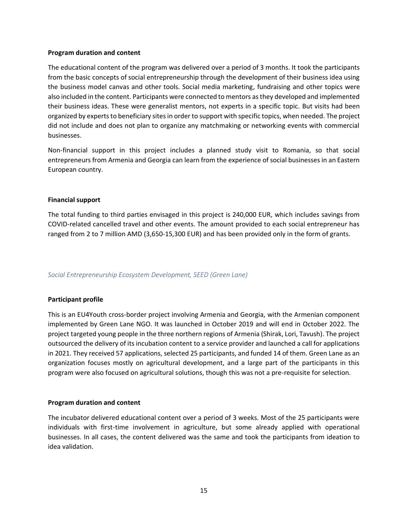#### **Program duration and content**

The educational content of the program was delivered over a period of 3 months. It took the participants from the basic concepts of social entrepreneurship through the development of their business idea using the business model canvas and other tools. Social media marketing, fundraising and other topics were also included in the content. Participants were connected to mentors as they developed and implemented their business ideas. These were generalist mentors, not experts in a specific topic. But visits had been organized by experts to beneficiary sites in order to support with specific topics, when needed. The project did not include and does not plan to organize any matchmaking or networking events with commercial businesses.

Non-financial support in this project includes a planned study visit to Romania, so that social entrepreneurs from Armenia and Georgia can learn from the experience of social businesses in an Eastern European country.

#### **Financial support**

The total funding to third parties envisaged in this project is 240,000 EUR, which includes savings from COVID-related cancelled travel and other events. The amount provided to each social entrepreneur has ranged from 2 to 7 million AMD (3,650-15,300 EUR) and has been provided only in the form of grants.

#### *Social Entrepreneurship Ecosystem Development, SEED (Green Lane)*

#### **Participant profile**

This is an EU4Youth cross-border project involving Armenia and Georgia, with the Armenian component implemented by Green Lane NGO. It was launched in October 2019 and will end in October 2022. The project targeted young people in the three northern regions of Armenia (Shirak, Lori, Tavush). The project outsourced the delivery of its incubation content to a service provider and launched a call for applications in 2021. They received 57 applications, selected 25 participants, and funded 14 of them. Green Lane as an organization focuses mostly on agricultural development, and a large part of the participants in this program were also focused on agricultural solutions, though this was not a pre-requisite for selection.

#### **Program duration and content**

The incubator delivered educational content over a period of 3 weeks. Most of the 25 participants were individuals with first-time involvement in agriculture, but some already applied with operational businesses. In all cases, the content delivered was the same and took the participants from ideation to idea validation.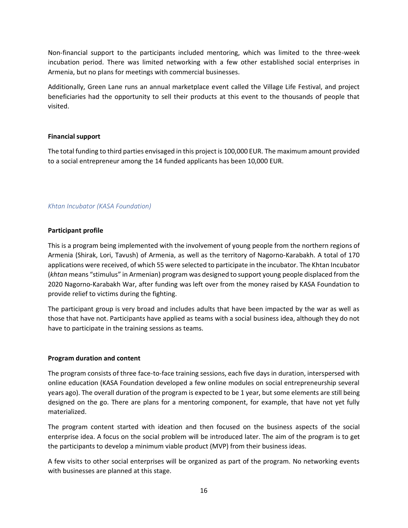Non-financial support to the participants included mentoring, which was limited to the three-week incubation period. There was limited networking with a few other established social enterprises in Armenia, but no plans for meetings with commercial businesses.

Additionally, Green Lane runs an annual marketplace event called the Village Life Festival, and project beneficiaries had the opportunity to sell their products at this event to the thousands of people that visited.

#### **Financial support**

The total funding to third parties envisaged in this project is 100,000 EUR. The maximum amount provided to a social entrepreneur among the 14 funded applicants has been 10,000 EUR.

# *Khtan Incubator (KASA Foundation)*

#### **Participant profile**

This is a program being implemented with the involvement of young people from the northern regions of Armenia (Shirak, Lori, Tavush) of Armenia, as well as the territory of Nagorno-Karabakh. A total of 170 applications were received, of which 55 were selected to participate in the incubator. The Khtan Incubator (*khtan* means "stimulus" in Armenian) program was designed to support young people displaced from the 2020 Nagorno-Karabakh War, after funding was left over from the money raised by KASA Foundation to provide relief to victims during the fighting.

The participant group is very broad and includes adults that have been impacted by the war as well as those that have not. Participants have applied as teams with a social business idea, although they do not have to participate in the training sessions as teams.

#### **Program duration and content**

The program consists of three face-to-face training sessions, each five days in duration, interspersed with online education (KASA Foundation developed a few online modules on social entrepreneurship several years ago). The overall duration of the program is expected to be 1 year, but some elements are still being designed on the go. There are plans for a mentoring component, for example, that have not yet fully materialized.

The program content started with ideation and then focused on the business aspects of the social enterprise idea. A focus on the social problem will be introduced later. The aim of the program is to get the participants to develop a minimum viable product (MVP) from their business ideas.

A few visits to other social enterprises will be organized as part of the program. No networking events with businesses are planned at this stage.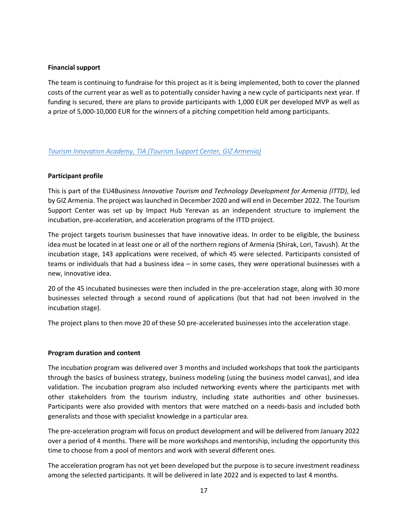#### **Financial support**

The team is continuing to fundraise for this project as it is being implemented, both to cover the planned costs of the current year as well as to potentially consider having a new cycle of participants next year. If funding is secured, there are plans to provide participants with 1,000 EUR per developed MVP as well as a prize of 5,000-10,000 EUR for the winners of a pitching competition held among participants.

#### *Tourism Innovation Academy, TIA [\(Tourism Support Center, GIZ Armenia\)](https://tourisminnovationacademy.com/)*

#### **Participant profile**

This is part of the EU4Business *Innovative Tourism and Technology Development for Armenia (ITTD)*, led by GIZ Armenia. The project was launched in December 2020 and will end in December 2022. The Tourism Support Center was set up by Impact Hub Yerevan as an independent structure to implement the incubation, pre-acceleration, and acceleration programs of the ITTD project.

The project targets tourism businesses that have innovative ideas. In order to be eligible, the business idea must be located in at least one or all of the northern regions of Armenia (Shirak, Lori, Tavush). At the incubation stage, 143 applications were received, of which 45 were selected. Participants consisted of teams or individuals that had a business idea – in some cases, they were operational businesses with a new, innovative idea.

20 of the 45 incubated businesses were then included in the pre-acceleration stage, along with 30 more businesses selected through a second round of applications (but that had not been involved in the incubation stage).

The project plans to then move 20 of these 50 pre-accelerated businesses into the acceleration stage.

#### **Program duration and content**

The incubation program was delivered over 3 months and included workshops that took the participants through the basics of business strategy, business modeling (using the business model canvas), and idea validation. The incubation program also included networking events where the participants met with other stakeholders from the tourism industry, including state authorities and other businesses. Participants were also provided with mentors that were matched on a needs-basis and included both generalists and those with specialist knowledge in a particular area.

The pre-acceleration program will focus on product development and will be delivered from January 2022 over a period of 4 months. There will be more workshops and mentorship, including the opportunity this time to choose from a pool of mentors and work with several different ones.

The acceleration program has not yet been developed but the purpose is to secure investment readiness among the selected participants. It will be delivered in late 2022 and is expected to last 4 months.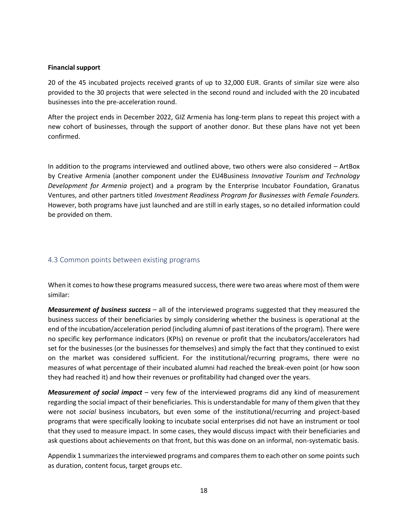#### **Financial support**

20 of the 45 incubated projects received grants of up to 32,000 EUR. Grants of similar size were also provided to the 30 projects that were selected in the second round and included with the 20 incubated businesses into the pre-acceleration round.

After the project ends in December 2022, GIZ Armenia has long-term plans to repeat this project with a new cohort of businesses, through the support of another donor. But these plans have not yet been confirmed.

In addition to the programs interviewed and outlined above, two others were also considered – ArtBox by Creative Armenia (another component under the EU4Business *Innovative Tourism and Technology Development for Armenia* project) and a program by the Enterprise Incubator Foundation, Granatus Ventures, and other partners titled *Investment Readiness Program for Businesses with Female Founders.* However, both programs have just launched and are still in early stages, so no detailed information could be provided on them.

## <span id="page-17-0"></span>4.3 Common points between existing programs

When it comes to how these programs measured success, there were two areas where most of them were similar:

*Measurement of business success* – all of the interviewed programs suggested that they measured the business success of their beneficiaries by simply considering whether the business is operational at the end of the incubation/acceleration period (including alumni of past iterations of the program). There were no specific key performance indicators (KPIs) on revenue or profit that the incubators/accelerators had set for the businesses (or the businesses for themselves) and simply the fact that they continued to exist on the market was considered sufficient. For the institutional/recurring programs, there were no measures of what percentage of their incubated alumni had reached the break-even point (or how soon they had reached it) and how their revenues or profitability had changed over the years.

*Measurement of social impact* – very few of the interviewed programs did any kind of measurement regarding the social impact of their beneficiaries. This is understandable for many of them given that they were not *social* business incubators, but even some of the institutional/recurring and project-based programs that were specifically looking to incubate social enterprises did not have an instrument or tool that they used to measure impact. In some cases, they would discuss impact with their beneficiaries and ask questions about achievements on that front, but this was done on an informal, non-systematic basis.

Appendix 1 summarizes the interviewed programs and compares them to each other on some points such as duration, content focus, target groups etc.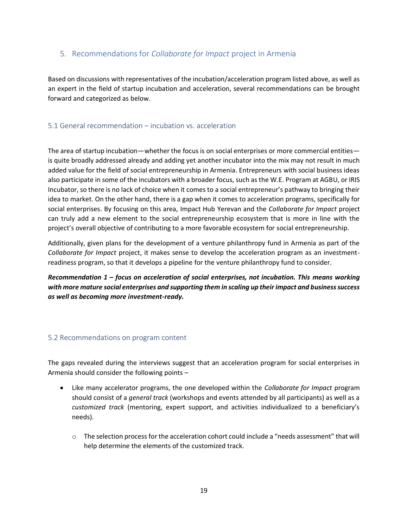# <span id="page-18-0"></span>5. Recommendations for *Collaborate for Impact* project in Armenia

Based on discussions with representatives of the incubation/acceleration program listed above, as well as an expert in the field of startup incubation and acceleration, several recommendations can be brought forward and categorized as below.

# <span id="page-18-1"></span>5.1 General recommendation – incubation vs. acceleration

The area of startup incubation—whether the focus is on social enterprises or more commercial entities is quite broadly addressed already and adding yet another incubator into the mix may not result in much added value for the field of social entrepreneurship in Armenia. Entrepreneurs with social business ideas also participate in some of the incubators with a broader focus, such as the W.E. Program at AGBU, or IRIS Incubator, so there is no lack of choice when it comes to a social entrepreneur's pathway to bringing their idea to market. On the other hand, there is a gap when it comes to acceleration programs, specifically for social enterprises. By focusing on this area, Impact Hub Yerevan and the *Collaborate for Impact* project can truly add a new element to the social entrepreneurship ecosystem that is more in line with the project's overall objective of contributing to a more favorable ecosystem for social entrepreneurship.

Additionally, given plans for the development of a venture philanthropy fund in Armenia as part of the *Collaborate for Impact* project, it makes sense to develop the acceleration program as an investmentreadiness program, so that it develops a pipeline for the venture philanthropy fund to consider.

*Recommendation 1 – focus on acceleration of social enterprises, not incubation. This means working with more mature social enterprises and supporting them in scaling up their impact and business success as well as becoming more investment-ready.*

#### <span id="page-18-2"></span>5.2 Recommendations on program content

The gaps revealed during the interviews suggest that an acceleration program for social enterprises in Armenia should consider the following points –

- Like many accelerator programs, the one developed within the *Collaborate for Impact* program should consist of a *general track* (workshops and events attended by all participants) as well as a *customized track* (mentoring, expert support, and activities individualized to a beneficiary's needs).
	- $\circ$  The selection process for the acceleration cohort could include a "needs assessment" that will help determine the elements of the customized track.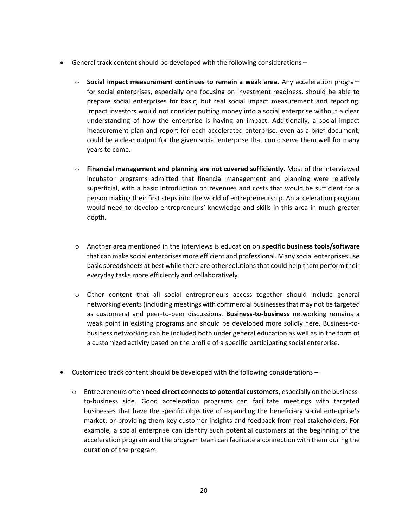- General track content should be developed with the following considerations
	- o **Social impact measurement continues to remain a weak area.** Any acceleration program for social enterprises, especially one focusing on investment readiness, should be able to prepare social enterprises for basic, but real social impact measurement and reporting. Impact investors would not consider putting money into a social enterprise without a clear understanding of how the enterprise is having an impact. Additionally, a social impact measurement plan and report for each accelerated enterprise, even as a brief document, could be a clear output for the given social enterprise that could serve them well for many years to come.
	- o **Financial management and planning are not covered sufficiently**. Most of the interviewed incubator programs admitted that financial management and planning were relatively superficial, with a basic introduction on revenues and costs that would be sufficient for a person making their first steps into the world of entrepreneurship. An acceleration program would need to develop entrepreneurs' knowledge and skills in this area in much greater depth.
	- o Another area mentioned in the interviews is education on **specific business tools/software**  that can make social enterprises more efficient and professional. Many social enterprises use basic spreadsheets at best while there are other solutions that could help them perform their everyday tasks more efficiently and collaboratively.
	- o Other content that all social entrepreneurs access together should include general networking events (including meetings with commercial businesses that may not be targeted as customers) and peer-to-peer discussions. **Business-to-business** networking remains a weak point in existing programs and should be developed more solidly here. Business-tobusiness networking can be included both under general education as well as in the form of a customized activity based on the profile of a specific participating social enterprise.
- Customized track content should be developed with the following considerations
	- o Entrepreneurs often **need direct connects to potential customers**, especially on the businessto-business side. Good acceleration programs can facilitate meetings with targeted businesses that have the specific objective of expanding the beneficiary social enterprise's market, or providing them key customer insights and feedback from real stakeholders. For example, a social enterprise can identify such potential customers at the beginning of the acceleration program and the program team can facilitate a connection with them during the duration of the program.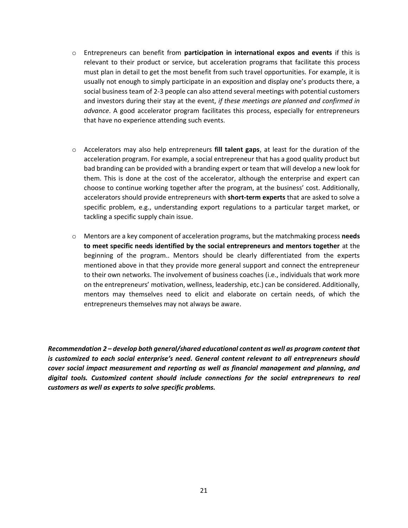- o Entrepreneurs can benefit from **participation in international expos and events** if this is relevant to their product or service, but acceleration programs that facilitate this process must plan in detail to get the most benefit from such travel opportunities. For example, it is usually not enough to simply participate in an exposition and display one's products there, a social business team of 2-3 people can also attend several meetings with potential customers and investors during their stay at the event, *if these meetings are planned and confirmed in advance*. A good accelerator program facilitates this process, especially for entrepreneurs that have no experience attending such events.
- o Accelerators may also help entrepreneurs **fill talent gaps**, at least for the duration of the acceleration program. For example, a social entrepreneur that has a good quality product but bad branding can be provided with a branding expert or team that will develop a new look for them. This is done at the cost of the accelerator, although the enterprise and expert can choose to continue working together after the program, at the business' cost. Additionally, accelerators should provide entrepreneurs with **short-term experts** that are asked to solve a specific problem, e.g., understanding export regulations to a particular target market, or tackling a specific supply chain issue.
- o Mentors are a key component of acceleration programs, but the matchmaking process **needs to meet specific needs identified by the social entrepreneurs and mentors together** at the beginning of the program.. Mentors should be clearly differentiated from the experts mentioned above in that they provide more general support and connect the entrepreneur to their own networks. The involvement of business coaches (i.e., individuals that work more on the entrepreneurs' motivation, wellness, leadership, etc.) can be considered. Additionally, mentors may themselves need to elicit and elaborate on certain needs, of which the entrepreneurs themselves may not always be aware.

*Recommendation 2 – develop both general/shared educational content as well as program content that is customized to each social enterprise's need. General content relevant to all entrepreneurs should cover social impact measurement and reporting as well as financial management and planning, and digital tools. Customized content should include connections for the social entrepreneurs to real customers as well as experts to solve specific problems.*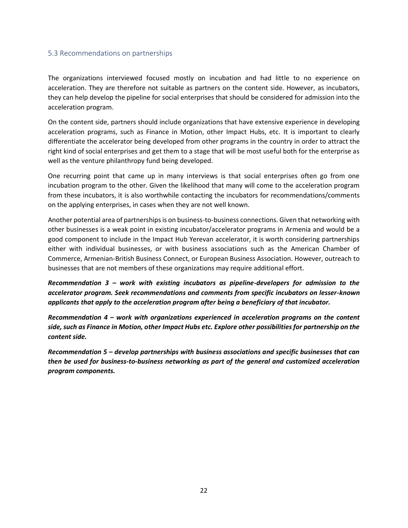# <span id="page-21-0"></span>5.3 Recommendations on partnerships

The organizations interviewed focused mostly on incubation and had little to no experience on acceleration. They are therefore not suitable as partners on the content side. However, as incubators, they can help develop the pipeline for social enterprises that should be considered for admission into the acceleration program.

On the content side, partners should include organizations that have extensive experience in developing acceleration programs, such as Finance in Motion, other Impact Hubs, etc. It is important to clearly differentiate the accelerator being developed from other programs in the country in order to attract the right kind of social enterprises and get them to a stage that will be most useful both for the enterprise as well as the venture philanthropy fund being developed.

One recurring point that came up in many interviews is that social enterprises often go from one incubation program to the other. Given the likelihood that many will come to the acceleration program from these incubators, it is also worthwhile contacting the incubators for recommendations/comments on the applying enterprises, in cases when they are not well known.

Another potential area of partnerships is on business-to-business connections. Given that networking with other businesses is a weak point in existing incubator/accelerator programs in Armenia and would be a good component to include in the Impact Hub Yerevan accelerator, it is worth considering partnerships either with individual businesses, or with business associations such as the American Chamber of Commerce, Armenian-British Business Connect, or European Business Association. However, outreach to businesses that are not members of these organizations may require additional effort.

*Recommendation 3 – work with existing incubators as pipeline-developers for admission to the accelerator program. Seek recommendations and comments from specific incubators on lesser-known applicants that apply to the acceleration program after being a beneficiary of that incubator.*

*Recommendation 4 – work with organizations experienced in acceleration programs on the content side, such as Finance in Motion, other Impact Hubs etc. Explore other possibilities for partnership on the content side.*

*Recommendation 5 – develop partnerships with business associations and specific businesses that can then be used for business-to-business networking as part of the general and customized acceleration program components.*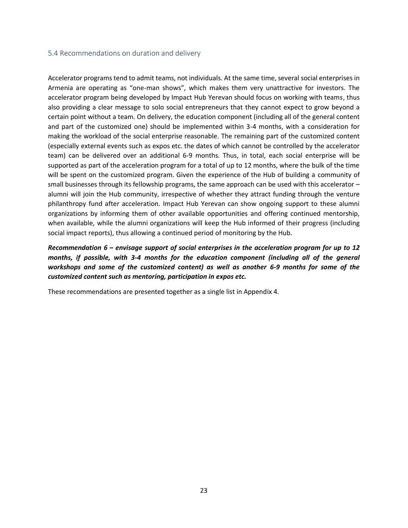## <span id="page-22-0"></span>5.4 Recommendations on duration and delivery

Accelerator programs tend to admit teams, not individuals. At the same time, several social enterprises in Armenia are operating as "one-man shows", which makes them very unattractive for investors. The accelerator program being developed by Impact Hub Yerevan should focus on working with teams, thus also providing a clear message to solo social entrepreneurs that they cannot expect to grow beyond a certain point without a team. On delivery, the education component (including all of the general content and part of the customized one) should be implemented within 3-4 months, with a consideration for making the workload of the social enterprise reasonable. The remaining part of the customized content (especially external events such as expos etc. the dates of which cannot be controlled by the accelerator team) can be delivered over an additional 6-9 months. Thus, in total, each social enterprise will be supported as part of the acceleration program for a total of up to 12 months, where the bulk of the time will be spent on the customized program. Given the experience of the Hub of building a community of small businesses through its fellowship programs, the same approach can be used with this accelerator – alumni will join the Hub community, irrespective of whether they attract funding through the venture philanthropy fund after acceleration. Impact Hub Yerevan can show ongoing support to these alumni organizations by informing them of other available opportunities and offering continued mentorship, when available, while the alumni organizations will keep the Hub informed of their progress (including social impact reports), thus allowing a continued period of monitoring by the Hub.

*Recommendation 6 – envisage support of social enterprises in the acceleration program for up to 12 months, if possible, with 3-4 months for the education component (including all of the general workshops and some of the customized content) as well as another 6-9 months for some of the customized content such as mentoring, participation in expos etc.*

These recommendations are presented together as a single list in Appendix 4.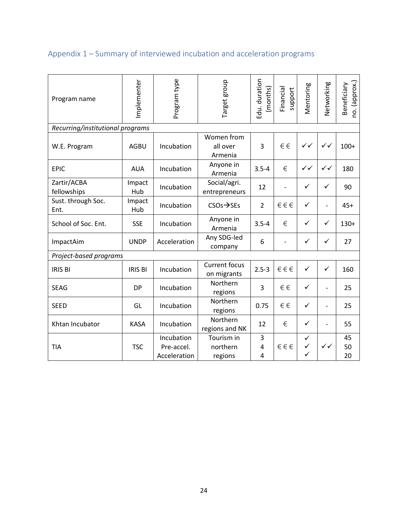# <span id="page-23-0"></span>Appendix 1 – Summary of interviewed incubation and acceleration programs

| Program name                     | Implementer    | Program type | Target group                        | Edu. duration<br>(months) | Financial<br>support | Mentoring    | Networking               | no. (approx.)<br>Beneficiary |  |  |  |
|----------------------------------|----------------|--------------|-------------------------------------|---------------------------|----------------------|--------------|--------------------------|------------------------------|--|--|--|
| Recurring/institutional programs |                |              |                                     |                           |                      |              |                          |                              |  |  |  |
| W.E. Program                     | <b>AGBU</b>    | Incubation   | Women from<br>all over<br>Armenia   | 3                         | €€                   | $\checkmark$ | $\checkmark$             | $100+$                       |  |  |  |
| <b>EPIC</b>                      | <b>AUA</b>     | Incubation   | Anyone in<br>Armenia                | $3.5 - 4$                 | €                    | ✓✓           | $\checkmark$             | 180                          |  |  |  |
| Zartir/ACBA<br>fellowships       | Impact<br>Hub  | Incubation   | Social/agri.<br>entrepreneurs       | 12                        |                      | $\checkmark$ | ✓                        | 90                           |  |  |  |
| Sust. through Soc.<br>Ent.       | Impact<br>Hub  | Incubation   | $CSOs \rightarrow SEs$              | $\overline{2}$            | €€€                  | $\checkmark$ | $\overline{\phantom{a}}$ | $45+$                        |  |  |  |
| School of Soc. Ent.              | <b>SSE</b>     | Incubation   | Anyone in<br>Armenia                | $3.5 - 4$                 | €                    | $\checkmark$ | ✓                        | $130+$                       |  |  |  |
| ImpactAim                        | <b>UNDP</b>    | Acceleration | Any SDG-led<br>company              | 6                         |                      | $\checkmark$ | ✓                        | 27                           |  |  |  |
| Project-based programs           |                |              |                                     |                           |                      |              |                          |                              |  |  |  |
| <b>IRIS BI</b>                   | <b>IRIS BI</b> | Incubation   | <b>Current focus</b><br>on migrants | $2.5 - 3$                 | €€€                  | $\checkmark$ | $\checkmark$             | 160                          |  |  |  |
| <b>SEAG</b>                      | <b>DP</b>      | Incubation   | Northern<br>regions                 | 3                         | €€                   | $\checkmark$ |                          | 25                           |  |  |  |
| <b>SEED</b>                      | GL             | Incubation   | Northern<br>regions                 | 0.75                      | €€                   | $\checkmark$ | $\blacksquare$           | 25                           |  |  |  |
| Khtan Incubator                  | <b>KASA</b>    | Incubation   | Northern<br>regions and NK          | 12                        | €                    | $\checkmark$ |                          | 55                           |  |  |  |
|                                  |                | Incubation   | Tourism in                          | 3                         |                      | ✓            |                          | 45                           |  |  |  |
| <b>TIA</b>                       | <b>TSC</b>     | Pre-accel.   | northern                            | $\overline{4}$            | €€€                  | $\checkmark$ | $\checkmark$             | 50                           |  |  |  |
|                                  |                | Acceleration | regions                             | 4                         |                      | ✓            |                          | 20                           |  |  |  |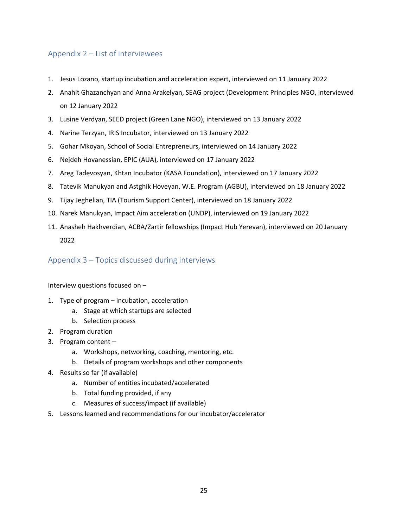# <span id="page-24-0"></span>Appendix 2 – List of interviewees

- 1. Jesus Lozano, startup incubation and acceleration expert, interviewed on 11 January 2022
- 2. Anahit Ghazanchyan and Anna Arakelyan, SEAG project (Development Principles NGO, interviewed on 12 January 2022
- 3. Lusine Verdyan, SEED project (Green Lane NGO), interviewed on 13 January 2022
- 4. Narine Terzyan, IRIS Incubator, interviewed on 13 January 2022
- 5. Gohar Mkoyan, School of Social Entrepreneurs, interviewed on 14 January 2022
- 6. Nejdeh Hovanessian, EPIC (AUA), interviewed on 17 January 2022
- 7. Areg Tadevosyan, Khtan Incubator (KASA Foundation), interviewed on 17 January 2022
- 8. Tatevik Manukyan and Astghik Hoveyan, W.E. Program (AGBU), interviewed on 18 January 2022
- 9. Tijay Jeghelian, TIA (Tourism Support Center), interviewed on 18 January 2022
- 10. Narek Manukyan, Impact Aim acceleration (UNDP), interviewed on 19 January 2022
- 11. Anasheh Hakhverdian, ACBA/Zartir fellowships (Impact Hub Yerevan), interviewed on 20 January 2022

<span id="page-24-1"></span>Appendix 3 – Topics discussed during interviews

Interview questions focused on –

- 1. Type of program incubation, acceleration
	- a. Stage at which startups are selected
	- b. Selection process
- 2. Program duration
- 3. Program content
	- a. Workshops, networking, coaching, mentoring, etc.
	- b. Details of program workshops and other components
- 4. Results so far (if available)
	- a. Number of entities incubated/accelerated
	- b. Total funding provided, if any
	- c. Measures of success/impact (if available)
- 5. Lessons learned and recommendations for our incubator/accelerator